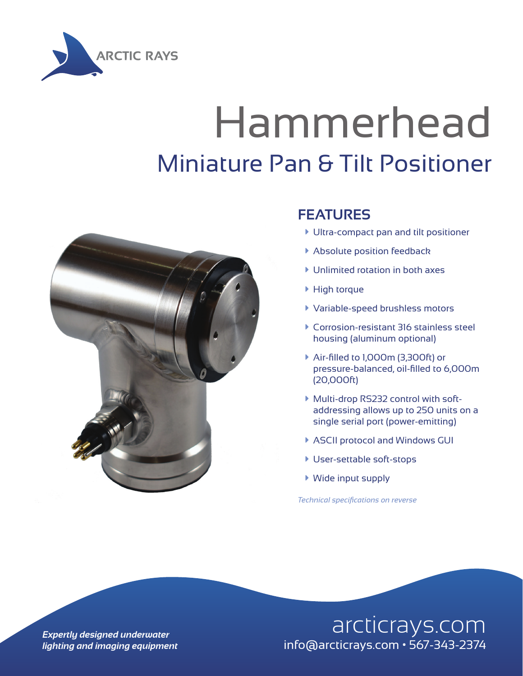

## Hammerhead Miniature Pan & Tilt Positioner



#### **FEATURES**

- à Ultra-compact pan and tilt positioner
- **Absolute position feedback**
- $\blacktriangleright$  Unlimited rotation in both axes
- ▶ High torque
- à Variable-speed brushless motors
- à Corrosion-resistant 316 stainless steel housing (aluminum optional)
- à Air-filled to 1,000m (3,300ft) or pressure-balanced, oil-filled to 6,000m (20,000ft)
- à Multi-drop RS232 control with softaddressing allows up to 250 units on a single serial port (power-emitting)
- ▶ ASCII protocol and Windows GUI
- **User-settable soft-stops**
- $\blacktriangleright$  Wide input supply

*Technical specifications on reverse*

### **Expertly designed underwater** and arcticrays.com *lighting and imaging equipment* info@arcticrays.com • 567-343-2374